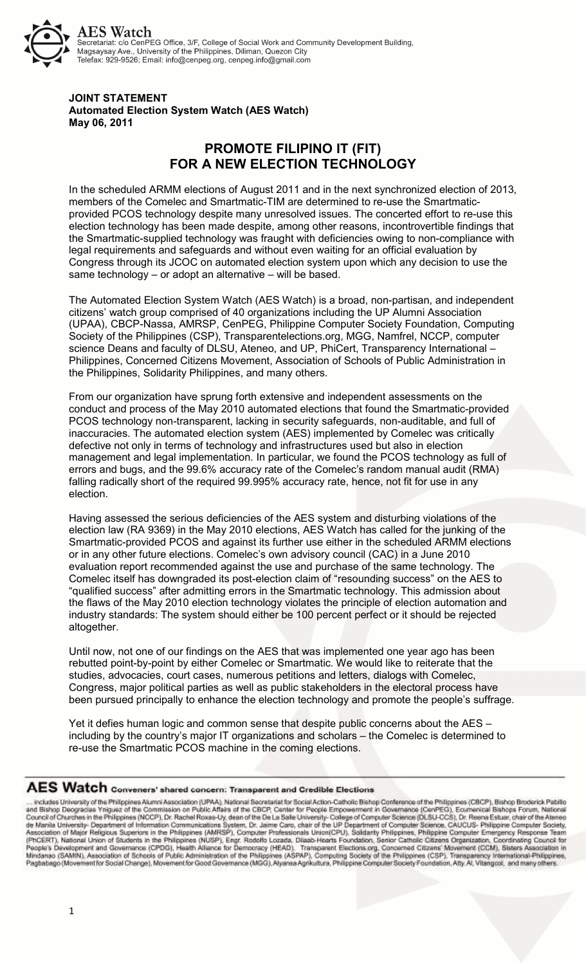

## **JOINT STATEMENT Automated Election System Watch (AES Watch) May 06, 2011**

## **PROMOTE FILIPINO IT (FIT) FOR A NEW ELECTION TECHNOLOGY**

In the scheduled ARMM elections of August 2011 and in the next synchronized election of 2013, members of the Comelec and Smartmatic-TIM are determined to re-use the Smartmaticprovided PCOS technology despite many unresolved issues. The concerted effort to re-use this election technology has been made despite, among other reasons, incontrovertible findings that the Smartmatic-supplied technology was fraught with deficiencies owing to non-compliance with legal requirements and safeguards and without even waiting for an official evaluation by Congress through its JCOC on automated election system upon which any decision to use the same technology – or adopt an alternative – will be based.

The Automated Election System Watch (AES Watch) is a broad, non-partisan, and independent citizens' watch group comprised of 40 organizations including the UP Alumni Association (UPAA), CBCP-Nassa, AMRSP, CenPEG, Philippine Computer Society Foundation, Computing Society of the Philippines (CSP), Transparentelections.org, MGG, Namfrel, NCCP, computer science Deans and faculty of DLSU, Ateneo, and UP, PhiCert, Transparency International -Philippines, Concerned Citizens Movement, Association of Schools of Public Administration in the Philippines, Solidarity Philippines, and many others.

From our organization have sprung forth extensive and independent assessments on the conduct and process of the May 2010 automated elections that found the Smartmatic-provided PCOS technology non-transparent, lacking in security safeguards, non-auditable, and full of inaccuracies. The automated election system (AES) implemented by Comelec was critically defective not only in terms of technology and infrastructures used but also in election management and legal implementation. In particular, we found the PCOS technology as full of errors and bugs, and the 99.6% accuracy rate of the Comelec's random manual audit (RMA) falling radically short of the required 99.995% accuracy rate, hence, not fit for use in any election.

Having assessed the serious deficiencies of the AES system and disturbing violations of the election law (RA 9369) in the May 2010 elections, AES Watch has called for the junking of the Smartmatic-provided PCOS and against its further use either in the scheduled ARMM elections or in any other future elections. Comelec's own advisory council (CAC) in a June 2010 evaluation report recommended against the use and purchase of the same technology. The Comelec itself has downgraded its post-election claim of "resounding success" on the AES to "qualified success" after admitting errors in the Smartmatic technology. This admission about the flaws of the May 2010 election technology violates the principle of election automation and industry standards: The system should either be 100 percent perfect or it should be rejected altogether.

Until now, not one of our findings on the AES that was implemented one year ago has been rebutted point-by-point by either Comelec or Smartmatic. We would like to reiterate that the studies, advocacies, court cases, numerous petitions and letters, dialogs with Comelec, Congress, major political parties as well as public stakeholders in the electoral process have been pursued principally to enhance the election technology and promote the people's suffrage.

Yet it defies human logic and common sense that despite public concerns about the AES – including by the country's major IT organizations and scholars – the Comelec is determined to re-use the Smartmatic PCOS machine in the coming elections.

## AES Watch Conveners' shared concern: Transparent and Credible Elections

... includes University of the Philippines Alumni Association (UPAA), National Secretarial for Social Action-Catholic Bishop Conference of the Philippines (CBCP), Bishop Broderick Pablifo<br>and Bishop Deogracias Yniguez of t Connection of Major Religious Superiors in the Philippines (WASP), down of the UP Department of Computer Science, CAUCUS-Philippine Computer Society,<br>Association of Major Religious Superiors in the Philippines (AMRSP), Com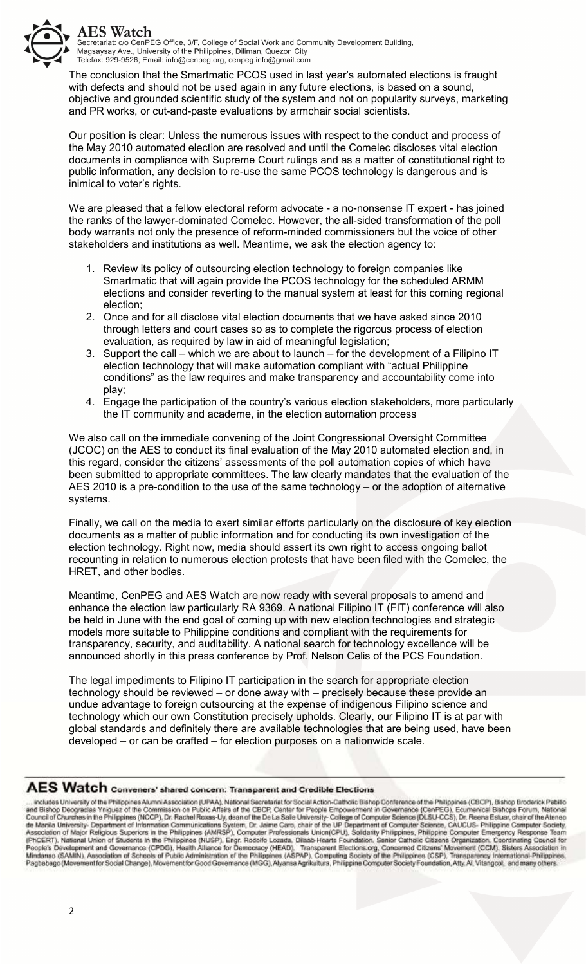

The conclusion that the Smartmatic PCOS used in last year's automated elections is fraught with defects and should not be used again in any future elections, is based on a sound, objective and grounded scientific study of the system and not on popularity surveys, marketing and PR works, or cut-and-paste evaluations by armchair social scientists.

Our position is clear: Unless the numerous issues with respect to the conduct and process of the May 2010 automated election are resolved and until the Comelec discloses vital election documents in compliance with Supreme Court rulings and as a matter of constitutional right to public information, any decision to re-use the same PCOS technology is dangerous and is inimical to voter's rights.

We are pleased that a fellow electoral reform advocate - a no-nonsense IT expert - has joined the ranks of the lawyer-dominated Comelec. However, the all-sided transformation of the poll body warrants not only the presence of reform-minded commissioners but the voice of other stakeholders and institutions as well. Meantime, we ask the election agency to:

- 1. Review its policy of outsourcing election technology to foreign companies like Smartmatic that will again provide the PCOS technology for the scheduled ARMM elections and consider reverting to the manual system at least for this coming regional election;
- 2. Once and for all disclose vital election documents that we have asked since 2010 through letters and court cases so as to complete the rigorous process of election evaluation, as required by law in aid of meaningful legislation;
- 3. Support the call which we are about to launch for the development of a Filipino IT election technology that will make automation compliant with "actual Philippine conditions" as the law requires and make transparency and accountability come into play;
- 4. Engage the participation of the country's various election stakeholders, more particularly the IT community and academe, in the election automation process

We also call on the immediate convening of the Joint Congressional Oversight Committee (JCOC) on the AES to conduct its final evaluation of the May 2010 automated election and, in this regard, consider the citizens' assessments of the poll automation copies of which have been submitted to appropriate committees. The law clearly mandates that the evaluation of the AES 2010 is a pre-condition to the use of the same technology – or the adoption of alternative systems.

Finally, we call on the media to exert similar efforts particularly on the disclosure of key election documents as a matter of public information and for conducting its own investigation of the election technology. Right now, media should assert its own right to access ongoing ballot recounting in relation to numerous election protests that have been filed with the Comelec, the HRET, and other bodies.

Meantime, CenPEG and AES Watch are now ready with several proposals to amend and enhance the election law particularly RA 9369. A national Filipino IT (FIT) conference will also be held in June with the end goal of coming up with new election technologies and strategic models more suitable to Philippine conditions and compliant with the requirements for transparency, security, and auditability. A national search for technology excellence will be announced shortly in this press conference by Prof. Nelson Celis of the PCS Foundation.

The legal impediments to Filipino IT participation in the search for appropriate election technology should be reviewed – or done away with – precisely because these provide an undue advantage to foreign outsourcing at the expense of indigenous Filipino science and technology which our own Constitution precisely upholds. Clearly, our Filipino IT is at par with global standards and definitely there are available technologies that are being used, have been developed – or can be crafted – for election purposes on a nationwide scale.

## AES Watch Conveners' shared concern: Transparent and Credible Elections

TREST WELLET CONVERIENT SINCORER STATE CONCERT: Transparent and Credible Electrons<br>
... Includes University of the Philippines (ACCP), Dr. Rachel Roxes-Uy, deen of the CBCP, Center for People Encourage (Centers of the Phil